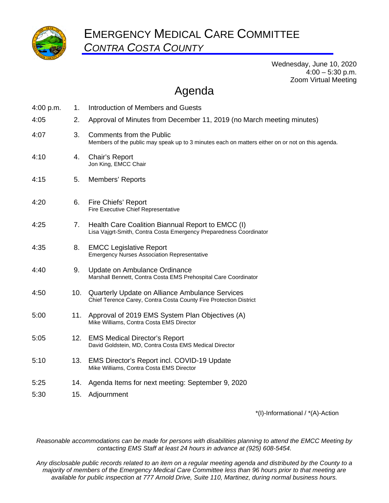

Wednesday, June 10, 2020  $4:00 - 5:30$  p.m. Zoom Virtual Meeting

## Agenda

| 4:00 p.m. | 1.  | Introduction of Members and Guests                                                                                                  |
|-----------|-----|-------------------------------------------------------------------------------------------------------------------------------------|
| 4:05      | 2.  | Approval of Minutes from December 11, 2019 (no March meeting minutes)                                                               |
| 4:07      | 3.  | <b>Comments from the Public</b><br>Members of the public may speak up to 3 minutes each on matters either on or not on this agenda. |
| 4:10      | 4.  | Chair's Report<br>Jon King, EMCC Chair                                                                                              |
| 4:15      | 5.  | Members' Reports                                                                                                                    |
| 4:20      | 6.  | Fire Chiefs' Report<br>Fire Executive Chief Representative                                                                          |
| 4:25      | 7.  | Health Care Coalition Biannual Report to EMCC (I)<br>Lisa Vajgrt-Smith, Contra Costa Emergency Preparedness Coordinator             |
| 4:35      | 8.  | <b>EMCC Legislative Report</b><br><b>Emergency Nurses Association Representative</b>                                                |
| 4:40      | 9.  | Update on Ambulance Ordinance<br>Marshall Bennett, Contra Costa EMS Prehospital Care Coordinator                                    |
| 4:50      | 10. | Quarterly Update on Alliance Ambulance Services<br>Chief Terence Carey, Contra Costa County Fire Protection District                |
| 5:00      | 11. | Approval of 2019 EMS System Plan Objectives (A)<br>Mike Williams, Contra Costa EMS Director                                         |
| 5:05      | 12. | <b>EMS Medical Director's Report</b><br>David Goldstein, MD, Contra Costa EMS Medical Director                                      |
| 5:10      | 13. | EMS Director's Report incl. COVID-19 Update<br>Mike Williams, Contra Costa EMS Director                                             |
| 5:25      | 14. | Agenda Items for next meeting: September 9, 2020                                                                                    |
| 5:30      | 15. | Adjournment                                                                                                                         |

\*(I)-Informational / \*(A)-Action

*Reasonable accommodations can be made for persons with disabilities planning to attend the EMCC Meeting by contacting EMS Staff at least 24 hours in advance at (925) 608-5454.* 

*Any disclosable public records related to an item on a regular meeting agenda and distributed by the County to a majority of members of the Emergency Medical Care Committee less than 96 hours prior to that meeting are available for public inspection at 777 Arnold Drive, Suite 110, Martinez, during normal business hours.*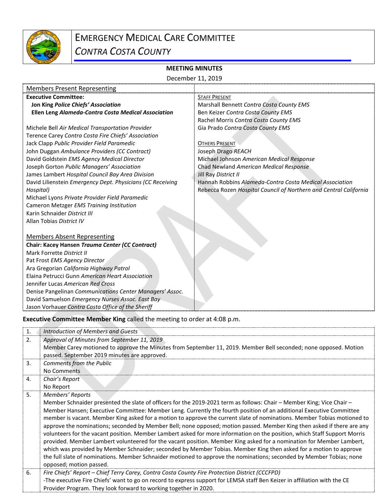

# EMERGENCY MEDICAL CARE COMMITTEE

*CONTRA COSTA COUNTY*

### **MEETING MINUTES**

|                                                            | December 11, 2019                                                 |
|------------------------------------------------------------|-------------------------------------------------------------------|
| <b>Members Present Representing</b>                        |                                                                   |
| <b>Executive Committee:</b>                                | <b>STAFF PRESENT</b>                                              |
| Jon King Police Chiefs' Association                        | Marshall Bennett Contra Costa County EMS                          |
| Ellen Leng Alameda-Contra Costa Medical Association        | Ben Keizer Contra Costa County EMS                                |
|                                                            | Rachel Morris Contra Costa County EMS                             |
| Michele Bell Air Medical Transportation Provider           | Gia Prado Contra Costa County EMS                                 |
| Terence Carey Contra Costa Fire Chiefs' Association        |                                                                   |
| Jack Clapp Public Provider Field Paramedic                 | <b>OTHERS PRESENT</b>                                             |
| John Duggan Ambulance Providers (CC Contract)              | Joseph Drago REACH                                                |
| David Goldstein EMS Agency Medical Director                | Michael Johnson American Medical Response                         |
| Joseph Gorton Public Managers' Association                 | Chad Newland American Medical Response                            |
| James Lambert Hospital Council Bay Area Division           | Jill Ray District II                                              |
| David Lilienstein Emergency Dept. Physicians (CC Receiving | Hannah Robbins Alameda-Contra Costa Medical Association           |
| Hospital)                                                  | Rebecca Rozen Hospital Council of Northern and Central California |
| Michael Lyons Private Provider Field Paramedic             |                                                                   |
| Cameron Metzger EMS Training Institution                   |                                                                   |
| Karin Schnaider District III                               |                                                                   |
| Allan Tobias District IV                                   |                                                                   |
|                                                            |                                                                   |
| <b>Members Absent Representing</b>                         |                                                                   |
| Chair: Kacey Hansen Trauma Center (CC Contract)            |                                                                   |
| Mark Forrette District II                                  |                                                                   |
| Pat Frost EMS Agency Director                              |                                                                   |
| Ara Gregorian California Highway Patrol                    |                                                                   |
| Elaina Petrucci Gunn American Heart Association            |                                                                   |
| Jennifer Lucas American Red Cross                          |                                                                   |
| Denise Pangelinan Communications Center Managers' Assoc.   |                                                                   |
| David Samuelson Emergency Nurses Assoc. East Bay           |                                                                   |
| Jason Vorhauer Contra Costa Office of the Sheriff          |                                                                   |

**Executive Committee Member King** called the meeting to order at 4:08 p.m.

| 1. | Introduction of Members and Guests                                                                                                                                                                                                                                                                                                                                                                                                                                                                                                                                                                                                                                                                                                                                                                                                                                                                                                                                                                                             |
|----|--------------------------------------------------------------------------------------------------------------------------------------------------------------------------------------------------------------------------------------------------------------------------------------------------------------------------------------------------------------------------------------------------------------------------------------------------------------------------------------------------------------------------------------------------------------------------------------------------------------------------------------------------------------------------------------------------------------------------------------------------------------------------------------------------------------------------------------------------------------------------------------------------------------------------------------------------------------------------------------------------------------------------------|
| 2. | Approval of Minutes from September 11, 2019                                                                                                                                                                                                                                                                                                                                                                                                                                                                                                                                                                                                                                                                                                                                                                                                                                                                                                                                                                                    |
|    | Member Carey motioned to approve the Minutes from September 11, 2019. Member Bell seconded; none opposed. Motion<br>passed. September 2019 minutes are approved.                                                                                                                                                                                                                                                                                                                                                                                                                                                                                                                                                                                                                                                                                                                                                                                                                                                               |
| 3. | Comments from the Public<br>No Comments                                                                                                                                                                                                                                                                                                                                                                                                                                                                                                                                                                                                                                                                                                                                                                                                                                                                                                                                                                                        |
| 4. | Chair's Report                                                                                                                                                                                                                                                                                                                                                                                                                                                                                                                                                                                                                                                                                                                                                                                                                                                                                                                                                                                                                 |
|    | No Report                                                                                                                                                                                                                                                                                                                                                                                                                                                                                                                                                                                                                                                                                                                                                                                                                                                                                                                                                                                                                      |
| 5. | Members' Reports                                                                                                                                                                                                                                                                                                                                                                                                                                                                                                                                                                                                                                                                                                                                                                                                                                                                                                                                                                                                               |
|    | Member Schnaider presented the slate of officers for the 2019-2021 term as follows: Chair - Member King; Vice Chair -<br>Member Hansen; Executive Committee: Member Leng. Currently the fourth position of an additional Executive Committee<br>member is vacant. Member King asked for a motion to approve the current slate of nominations. Member Tobias motioned to<br>approve the nominations; seconded by Member Bell; none opposed; motion passed. Member King then asked if there are any<br>volunteers for the vacant position. Member Lambert asked for more information on the position, which Staff Support Morris<br>provided. Member Lambert volunteered for the vacant position. Member King asked for a nomination for Member Lambert,<br>which was provided by Member Schnaider; seconded by Member Tobias. Member King then asked for a motion to approve<br>the full slate of nominations. Member Schnaider motioned to approve the nominations; seconded by Member Tobias; none<br>opposed; motion passed. |
| 6. | Fire Chiefs' Report – Chief Terry Carey, Contra Costa County Fire Protection District (CCCFPD)                                                                                                                                                                                                                                                                                                                                                                                                                                                                                                                                                                                                                                                                                                                                                                                                                                                                                                                                 |
|    | -The executive Fire Chiefs' want to go on record to express support for LEMSA staff Ben Keizer in affiliation with the CE                                                                                                                                                                                                                                                                                                                                                                                                                                                                                                                                                                                                                                                                                                                                                                                                                                                                                                      |
|    | Provider Program. They look forward to working together in 2020.                                                                                                                                                                                                                                                                                                                                                                                                                                                                                                                                                                                                                                                                                                                                                                                                                                                                                                                                                               |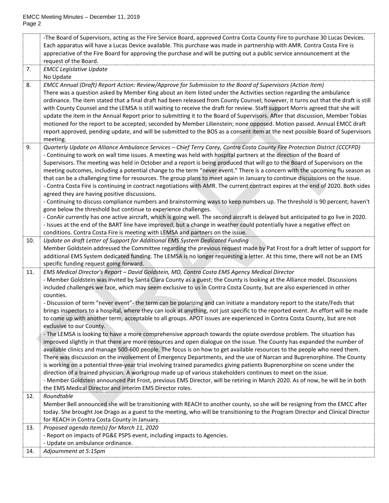|     | -The Board of Supervisors, acting as the Fire Service Board, approved Contra Costa County Fire to purchase 30 Lucas Devices.             |
|-----|------------------------------------------------------------------------------------------------------------------------------------------|
|     | Each apparatus will have a Lucas Device available. This purchase was made in partnership with AMR. Contra Costa Fire is                  |
|     | appreciative of the Fire Board for approving the purchase and will be putting out a public service announcement at the                   |
|     | request of the Board.                                                                                                                    |
| 7.  | <b>EMCC Legislative Update</b>                                                                                                           |
|     | No Update                                                                                                                                |
| 8.  | EMCC Annual (Draft) Report Action: Review/Approve for Submission to the Board of Supervisors (Action Item)                               |
|     | There was a question asked by Member King about an item listed under the Activities section regarding the ambulance                      |
|     | ordinance. The item stated that a final draft had been released from County Counsel; however, it turns out that the draft is still       |
|     | with County Counsel and the LEMSA is still waiting to receive the draft for review. Staff support Morris agreed that she will            |
|     | update the item in the Annual Report prior to submitting it to the Board of Supervisors. After that discussion, Member Tobias            |
|     | motioned for the report to be accepted; seconded by Member Lilienstein; none opposed. Motion passed. Annual EMCC draft                   |
|     | report approved, pending update, and will be submitted to the BOS as a consent item at the next possible Board of Supervisors            |
|     | meeting.                                                                                                                                 |
| 9.  | Quarterly Update on Alliance Ambulance Services - Chief Terry Carey, Contra Costa County Fire Protection District (CCCFPD)               |
|     | - Continuing to work on wall time issues. A meeting was held with hospital partners at the direction of the Board of                     |
|     | Supervisors. The meeting was held in October and a report is being produced that will go to the Board of Supervisors on the              |
|     | meeting outcomes, including a potential change to the term "never event." There is a concern with the upcoming flu season as             |
|     | that can be a challenging time for resources. The group plans to meet again in January to continue discussions on the issue.             |
|     | - Contra Costa Fire is continuing in contract negotiations with AMR. The current contract expires at the end of 2020. Both sides         |
|     | agreed they are having positive discussions.                                                                                             |
|     | - Continuing to discuss compliance numbers and brainstorming ways to keep numbers up. The threshold is 90 percent; haven't               |
|     | gone below the threshold but continue to experience challenges.                                                                          |
|     | - ConAir currently has one active aircraft, which is going well. The second aircraft is delayed but anticipated to go live in 2020.      |
|     | - Issues at the end of the BART line have improved, but a change in weather could potentially have a negative effect on                  |
|     | conditions. Contra Costa Fire is meeting with LEMSA and partners on the issue.                                                           |
| 10. | Update on draft Letter of Support for Additional EMS System Dedicated Funding                                                            |
|     | Member Goldstein addressed the Committee regarding the previous request made by Pat Frost for a draft letter of support for              |
|     | additional EMS System dedicated funding. The LEMSA is no longer requesting a letter. At this time, there will not be an EMS              |
| 11. | specific funding request going forward.<br>EMS Medical Director's Report - David Goldstein, MD, Contra Costa EMS Agency Medical Director |
|     | - Member Goldstein was invited by Santa Clara County as a guest; the County is looking at the Alliance model. Discussions                |
|     | included challenges we face, which may seem exclusive to us in Contra Costa County, but are also experienced in other                    |
|     | counties.                                                                                                                                |
|     | - Discussion of term "never event"- the term can be polarizing and can initiate a mandatory report to the state/Feds that                |
|     | brings inspectors to a hospital, where they can look at anything, not just specific to the reported event. An effort will be made        |
|     | to come up with another term, acceptable to all groups. APOT issues are experienced in Contra Costa County, but are not                  |
|     | exclusive to our County.                                                                                                                 |
|     | - The LEMSA is looking to have a more comprehensive approach towards the opiate overdose problem. The situation has                      |
|     | improved slightly in that there are more resources and open dialogue on the issue. The County has expanded the number of                 |
|     | available clinics and manage 500-600 people. The focus is on how to get available resources to the people who need them.                 |
|     | There was discussion on the involvement of Emergency Departments, and the use of Narcan and Buprenorphine. The County                    |
|     | is working on a potential three-year trial involving trained paramedics giving patients Buprenorphine on scene under the                 |
|     | direction of a trained physician. A workgroup made up of various stakeholders continues to meet on the issue.                            |
|     | - Member Goldstein announced Pat Frost, previous EMS Director, will be retiring in March 2020. As of now, he will be in both             |
|     | the EMS Medical Director and interim EMS Director roles.                                                                                 |
| 12. | Roundtable                                                                                                                               |
|     | Member Bell announced she will be transitioning with REACH to another county, so she will be resigning from the EMCC after               |
|     | today. She brought Joe Drago as a guest to the meeting, who will be transitioning to the Program Director and Clinical Director          |
|     | for REACH in Contra Costa County in January.                                                                                             |
| 13. | Proposed agenda item(s) for March 11, 2020                                                                                               |
|     | - Report on impacts of PG&E PSPS event, including impacts to Agencies.                                                                   |
|     | - Update on ambulance ordinance.                                                                                                         |
| 14. | Adjournment at 5:15pm                                                                                                                    |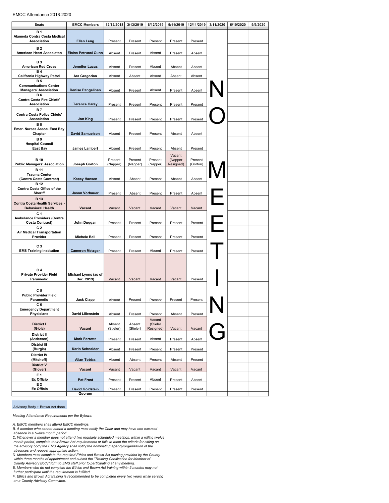#### EMCC Attendance 2018-2020

| <b>Seats</b>                                                 | <b>EMCC Members</b>                | 12/12/2018          | 3/13/2019           | 6/12/2019             | 9/11/2019         | 12/11/2019 | 3/11/2020 | 6/10/2020 | 9/9/2020 |
|--------------------------------------------------------------|------------------------------------|---------------------|---------------------|-----------------------|-------------------|------------|-----------|-----------|----------|
| <b>B1</b>                                                    |                                    |                     |                     |                       |                   |            |           |           |          |
| Alameda Contra Costa Medical<br>Association                  |                                    |                     |                     |                       |                   |            |           |           |          |
|                                                              | <b>Ellen Leng</b>                  | Present             | Present             | Present               | Present           | Present    |           |           |          |
| <b>B2</b><br>American Heart Associaton                       | Elaina Petrucci Gunn               | Absent              | Present             | Absent                | Present           | Absent     |           |           |          |
| <b>B3</b>                                                    |                                    |                     |                     |                       |                   |            |           |           |          |
| <b>American Red Cross</b>                                    | <b>Jennifer Lucas</b>              | Absent              | Present             | Absent                | Absent            | Absent     |           |           |          |
| <b>B4</b><br>California Highway Patrol                       | Ara Gregorian                      | Absent              | Absent              | Absent                | Absent            | Absent     |           |           |          |
| <b>B5</b>                                                    |                                    |                     |                     |                       |                   |            |           |           |          |
| <b>Communications Center</b><br><b>Managers' Association</b> | <b>Denise Pangelinan</b>           | Absent              | Present             | Absent                | Present           | Absent     |           |           |          |
| <b>B6</b>                                                    |                                    |                     |                     |                       |                   |            |           |           |          |
| Contra Costa Fire Chiefs'<br><b>Association</b>              | <b>Terence Carey</b>               | Present             | Present             | Present               | Present           | Present    |           |           |          |
| <b>B7</b>                                                    |                                    |                     |                     |                       |                   |            |           |           |          |
| Contra Costa Police Chiefs'                                  |                                    |                     |                     |                       |                   |            |           |           |          |
| Association<br><b>B8</b>                                     | <b>Jon King</b>                    | Present             | Present             | Present               | Present           | Present    |           |           |          |
| Emer. Nurses Assoc. East Bay                                 |                                    |                     |                     |                       |                   |            |           |           |          |
| Chapter<br><b>B</b> <sub>9</sub>                             | <b>David Samuelson</b>             | Absent              | Present             | Present               | Absent            | Absent     |           |           |          |
| <b>Hospital Council</b>                                      |                                    |                     |                     |                       |                   |            |           |           |          |
| <b>East Bay</b>                                              | <b>James Lambert</b>               | Absent              | Present             | Present               | Absent            | Present    |           |           |          |
| <b>B</b> 10                                                  |                                    | Present             | Present             | Present               | Vacant<br>(Napper | Present    |           |           |          |
| <b>Public Managers' Association</b>                          | Joseph Gorton                      | (Napper)            | (Napper)            | (Napper)              | Resigned)         | (Gorton)   |           |           |          |
| <b>B</b> 11<br><b>Trauma Center</b>                          |                                    |                     |                     |                       |                   |            |           |           |          |
| (Contra Costa Contract)                                      | <b>Kacey Hansen</b>                | Absent              | Absent              | Present               | Absent            | Absent     |           |           |          |
| <b>B</b> 12<br>Contra Costa Office of the                    |                                    |                     |                     |                       |                   |            |           |           |          |
| Sheriff                                                      | <b>Jason Vorhauer</b>              | Present             | Absent              | Present               | Present           | Absent     |           |           |          |
| <b>B</b> 13                                                  |                                    |                     |                     |                       |                   |            |           |           |          |
| Contra Costa Health Services -<br><b>Behavioral Health</b>   | Vacant                             | Vacant              | Vacant              | Vacant                | Vacant            | Vacant     |           |           |          |
| C <sub>1</sub>                                               |                                    |                     |                     |                       |                   |            |           |           |          |
| <b>Ambulance Providers (Contra</b><br><b>Costa Contract)</b> | John Duggan                        | Present             | Present             | Present               | Present           | Present    |           |           |          |
| C <sub>2</sub>                                               |                                    |                     |                     |                       |                   |            |           |           |          |
| <b>Air Medical Transportation</b><br>Provider                | <b>Michele Bell</b>                | Present             | Present             | Present               | Present           | Present    |           |           |          |
|                                                              |                                    |                     |                     |                       |                   |            |           |           |          |
| C <sub>3</sub><br><b>EMS Training Institution</b>            | <b>Cameron Metzger</b>             | Present             | Present             | Absent                | Present           | Present    |           |           |          |
|                                                              |                                    |                     |                     |                       |                   |            |           |           |          |
|                                                              |                                    |                     |                     |                       |                   |            |           |           |          |
| C <sub>4</sub>                                               |                                    |                     |                     |                       |                   |            |           |           |          |
| <b>Private Provider Field</b><br>Paramedic                   | Michael Lyons (as of<br>Dec. 2019) | Vacant              | Vacant              | Vacant                | Vacant            | Present    |           |           |          |
|                                                              |                                    |                     |                     |                       |                   |            |           |           |          |
| C <sub>5</sub>                                               |                                    |                     |                     |                       |                   |            |           |           |          |
| <b>Public Provider Field</b><br>Paramedic                    | <b>Jack Clapp</b>                  | Absent              | Present             | Present               | Present           | Present    |           |           |          |
| C 6                                                          |                                    |                     |                     |                       |                   |            |           |           |          |
| <b>Emergency Department</b><br>Physicians                    | <b>David Lilienstein</b>           | Absent              | Present             | Present               | Absent            | Present    |           |           |          |
|                                                              |                                    |                     |                     | Vacant                |                   |            |           |           |          |
| <b>District I</b><br>(Gioia)                                 | Vacant                             | Absent<br>(Stieler) | Absent<br>(Stieler) | (Stieler<br>Resigned) | Vacant            | Vacant     |           |           |          |
| <b>District II</b>                                           |                                    |                     |                     |                       |                   |            |           |           |          |
| (Andersen)                                                   | <b>Mark Forrette</b>               | Present             | Present             | Absent                | Present           | Absent     |           |           |          |
| District III<br>(Burgis)                                     | Karin Schnaider                    | Absent              | Present             | Present               | Present           | Present    |           |           |          |
| <b>District IV</b>                                           |                                    |                     |                     |                       |                   |            |           |           |          |
| (Mitchoff)<br><b>District V</b>                              | <b>Allan Tobias</b>                | Absent              | Absent              | Present               | Absent            | Present    |           |           |          |
| (Glover)                                                     | Vacant                             | Vacant              | Vacant              | Vacant                | Vacant            | Vacant     |           |           |          |
| E 1                                                          |                                    |                     |                     |                       |                   |            |           |           |          |
| Ex Officio<br>E 2                                            | <b>Pat Frost</b>                   | Present             | Present             | Absent                | Present           | Absent     |           |           |          |
| Ex Officio                                                   | <b>David Goldstein</b>             | Present             | Present             | Present               | Present           | Present    |           |           |          |
|                                                              | Quorum                             |                     |                     |                       |                   |            |           |           |          |

#### Advisory Body + Brown Act done

Meeting Attendance Requirements per the Bylaws:

- A. EMCC members shall attend EMCC meetings. B. A member who cannot attend a meeting must notify the Chair and may have one excused
- absence in a twelve month period.<br>C. Whenever a member does not attend two regularly scheduled meetings, within a rolling twelve<br>month period, complete their Brown Act requirements or fails to meet the criteria for sitting

- 
- absences and request appropriate action. D. Members must complete the required Ethics and Brown Act training provided by the County

within three months of appointment and submit the "Training Certification for Member of<br>County Advisory Body" form to EMS staff prior to participating at any meeting.<br>E. Members who do not complete the Ethics and Brown Act

further participate until the requirement is fulfilled. F. Ethics and Brown Act training is recommended to be completed every two years while serving on a County Advisory Committee.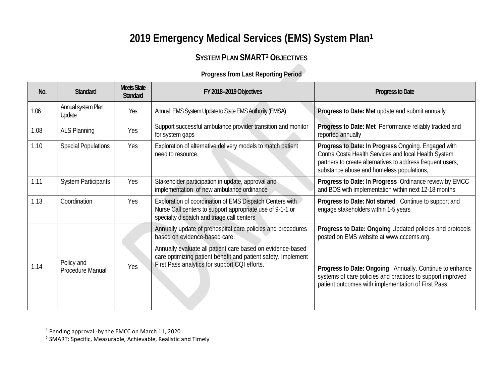## **2019 Emergency Medical Services (EMS) System Plan[1](#page-4-0)**

## <span id="page-4-1"></span><span id="page-4-0"></span>**SYSTEM PLAN SMART[2](#page-4-1) OBJECTIVES**

### **Progress from Last Reporting Period**

| No.  | <b>Standard</b>                | <b>Meets State</b><br><b>Standard</b> | FY 2018-2019 Objectives                                                                                                                                                      | Progress to Date                                                                                                                                                                                                       |
|------|--------------------------------|---------------------------------------|------------------------------------------------------------------------------------------------------------------------------------------------------------------------------|------------------------------------------------------------------------------------------------------------------------------------------------------------------------------------------------------------------------|
| 1.06 | Annual system Plan<br>Update   | Yes                                   | Annual EMS System Update to State EMS Authority (EMSA)                                                                                                                       | Progress to Date: Met update and submit annually                                                                                                                                                                       |
| 1.08 | <b>ALS Planning</b>            | Yes                                   | Support successful ambulance provider transition and monitor<br>for system gaps                                                                                              | Progress to Date: Met Performance reliably tracked and<br>reported annually                                                                                                                                            |
| 1.10 | <b>Special Populations</b>     | Yes                                   | Exploration of alternative delivery models to match patient<br>need to resource.                                                                                             | Progress to Date: In Progress Ongoing. Engaged with<br>Contra Costa Health Services and local Health System<br>partners to create alternatives to address frequent users,<br>substance abuse and homeless populations, |
| 1.11 | <b>System Participants</b>     | Yes                                   | Stakeholder participation in update, approval and<br>implementation of new ambulance ordinance                                                                               | Progress to Date: In Progress Ordinance review by EMCC<br>and BOS with implementation within next 12-18 months                                                                                                         |
| 1.13 | Coordination                   | Yes                                   | Exploration of coordination of EMS Dispatch Centers with<br>Nurse Call centers to support appropriate use of 9-1-1 or<br>specialty dispatch and triage call centers          | Progress to Date: Not started Continue to support and<br>engage stakeholders within 1-5 years                                                                                                                          |
|      |                                |                                       | Annually update of prehospital care policies and procedures<br>based on evidence-based care.                                                                                 | Progress to Date: Ongoing Updated policies and protocols<br>posted on EMS website at www.cccems.org.                                                                                                                   |
| 1.14 | Policy and<br>Procedure Manual | Yes                                   | Annually evaluate all patient care based on evidence-based<br>care optimizing patient benefit and patient safety. Implement<br>First Pass analytics for support CQI efforts. | Progress to Date: Ongoing Annually. Continue to enhance<br>systems of care policies and practices to support improved<br>patient outcomes with implementation of First Pass.                                           |

<sup>1</sup> Pending approval -by the EMCC on March 11, 2020

<sup>2</sup> SMART: Specific, Measurable, Achievable, Realistic and Timely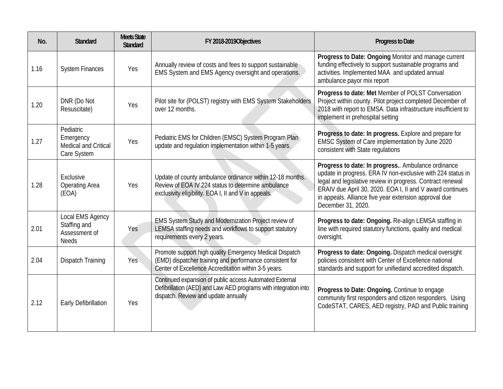| No.  | <b>Standard</b>                                                   | <b>Meets State</b><br><b>Standard</b> | FY 2018-2019 Objectives                                                                                                                                                     | <b>Progress to Date</b>                                                                                                                                                                                                                                                                                                    |
|------|-------------------------------------------------------------------|---------------------------------------|-----------------------------------------------------------------------------------------------------------------------------------------------------------------------------|----------------------------------------------------------------------------------------------------------------------------------------------------------------------------------------------------------------------------------------------------------------------------------------------------------------------------|
| 1.16 | <b>System Finances</b>                                            | Yes                                   | Annually review of costs and fees to support sustainable<br>EMS System and EMS Agency oversight and operations.                                                             | Progress to Date: Ongoing Monitor and manage current<br>funding effectively to support sustainable programs and<br>activities. Implemented MAA and updated annual<br>ambulance payor mix report                                                                                                                            |
| 1.20 | DNR (Do Not<br>Resuscitate)                                       | Yes                                   | Pilot site for (POLST) registry with EMS System Stakeholders<br>over 12 months.                                                                                             | Progress to date: Met Member of POLST Conversation<br>Project within county. Pilot project completed December of<br>2018 with report to EMSA. Data infrastructure insufficient to<br>implement in prehospital setting                                                                                                      |
| 1.27 | Pediatric<br>Emergency<br>Medical and Critical<br>Care System     | Yes                                   | Pediatric EMS for Children (EMSC) System Program Plan<br>update and regulation implementation within 1-5 years.                                                             | Progress to date: In progress. Explore and prepare for<br>EMSC System of Care implementation by June 2020<br>consistent with State regulations                                                                                                                                                                             |
| 1.28 | Exclusive<br>Operating Area<br>(EOA)                              | Yes                                   | Update of county ambulance ordinance within 12-18 months.<br>Review of EOA IV 224 status to determine ambulance<br>exclusivity eligibility. EOA I, II and V in appeals.     | Progress to date: In progress Ambulance ordinance<br>update in progress. ERA IV non-exclusive with 224 status in<br>legal and legislative review in progress. Contract renewal<br>ERAIV due April 30, 2020. EOA I, II and V award continues<br>in appeals. Alliance five year extension approval due<br>December 31, 2020. |
| 2.01 | Local EMS Agency<br>Staffing and<br>Assessment of<br><b>Needs</b> | Yes                                   | EMS System Study and Modernization Project review of<br>LEMSA staffing needs and workflows to support statutory<br>requirements every 2 years.                              | Progress to date: Ongoing. Re-align LEMSA staffing in<br>line with required statutory functions, quality and medical<br>oversight.                                                                                                                                                                                         |
| 2.04 | <b>Dispatch Training</b>                                          | Yes                                   | Promote support high quality Emergency Medical Dispatch<br>(EMD) dispatcher training and performance consistent for<br>Center of Excellence Accreditation within 3-5 years. | Progress to date: Ongoing. Dispatch medical oversight<br>policies consistent with Center of Excellence national<br>standards and support for unifiedand accredited dispatch.                                                                                                                                               |
| 2.12 | Early Defibrillation                                              | Yes                                   | Continued expansion of public access Automated External<br>Defibrillation (AED) and Law AED programs with integration into<br>dispatch. Review and update annually          | Progress to Date: Ongoing. Continue to engage<br>community first responders and citizen responders. Using<br>CodeSTAT, CARES, AED registry, PAD and Public training                                                                                                                                                        |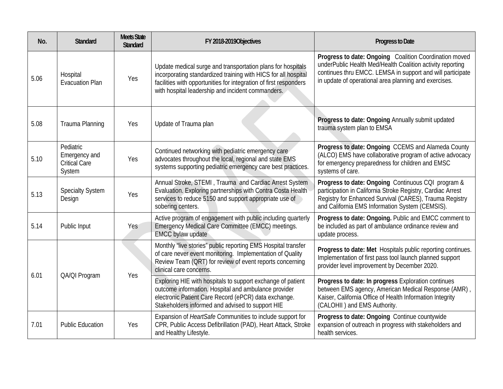| No.  | <b>Standard</b>                                              | <b>Meets State</b><br><b>Standard</b> | FY 2018-2019 Objectives                                                                                                                                                                                                                                 | Progress to Date                                                                                                                                                                                                                            |
|------|--------------------------------------------------------------|---------------------------------------|---------------------------------------------------------------------------------------------------------------------------------------------------------------------------------------------------------------------------------------------------------|---------------------------------------------------------------------------------------------------------------------------------------------------------------------------------------------------------------------------------------------|
| 5.06 | Hospital<br><b>Evacuation Plan</b>                           | Yes                                   | Update medical surge and transportation plans for hospitals<br>incorporating standardized training with HICS for all hospital<br>facilities with opportunities for integration of first responders<br>with hospital leadership and incident commanders. | Progress to date: Ongoing Coalition Coordination moved<br>underPublic Health Med/Health Coalition activity reporting<br>continues thru EMCC. LEMSA in support and will participate<br>in update of operational area planning and exercises. |
| 5.08 | Trauma Planning                                              | Yes                                   | Update of Trauma plan                                                                                                                                                                                                                                   | Progress to date: Ongoing Annually submit updated<br>trauma system plan to EMSA                                                                                                                                                             |
| 5.10 | Pediatric<br>Emergency and<br><b>Critical Care</b><br>System | Yes                                   | Continued networking with pediatric emergency care<br>advocates throughout the local, regional and state EMS<br>systems supporting pediatric emergency care best practices.                                                                             | Progress to date: Ongoing CCEMS and Alameda County<br>(ALCO) EMS have collaborative program of active advocacy<br>for emergency preparedness for children and EMSC<br>systems of care.                                                      |
| 5.13 | <b>Specialty System</b><br>Design                            | Yes                                   | Annual Stroke, STEMI, Trauma and Cardiac Arrest System<br>Evaluation. Exploring partnerships with Contra Costa Health<br>services to reduce 5150 and support appropriate use of<br>sobering centers.                                                    | Progress to date: Ongoing Continuous CQI program &<br>participation in California Stroke Registry, Cardiac Arrest<br>Registry for Enhanced Survival (CARES), Trauma Registry<br>and California EMS Information System (CEMSIS).             |
| 5.14 | Public Input                                                 | <b>Yes</b>                            | Active program of engagement with public including quarterly<br>Emergency Medical Care Committee (EMCC) meetings.<br><b>EMCC bylaw update</b>                                                                                                           | Progress to date: Ongoing. Public and EMCC comment to<br>be included as part of ambulance ordinance review and<br>update process.                                                                                                           |
| 6.01 | QA/QI Program                                                | Yes                                   | Monthly "live stories" public reporting EMS Hospital transfer<br>of care never event monitoring. Implementation of Quality<br>Review Team (QRT) for review of event reports concerning<br>clinical care concerns.                                       | Progress to date: Met Hospitals public reporting continues.<br>Implementation of first pass tool launch planned support<br>provider level improvement by December 2020.                                                                     |
|      |                                                              |                                       | Exploring HIE with hospitals to support exchange of patient<br>outcome information. Hospital and ambulance provider<br>electronic Patient Care Record (ePCR) data exchange.<br>Stakeholders informed and advised to support HIE                         | Progress to date: In progress Exploration continues<br>between EMS agency, American Medical Response (AMR),<br>Kaiser, California Office of Health Information Integrity<br>(CALOHII) and EMS Authority.                                    |
| 7.01 | <b>Public Education</b>                                      | Yes                                   | Expansion of HeartSafe Communities to include support for<br>CPR, Public Access Defibrillation (PAD), Heart Attack, Stroke<br>and Healthy Lifestyle.                                                                                                    | Progress to date: Ongoing Continue countywide<br>expansion of outreach in progress with stakeholders and<br>health services.                                                                                                                |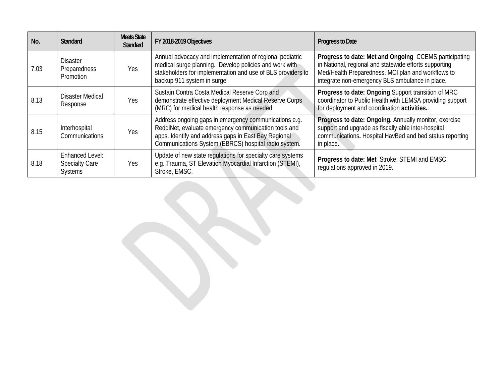| No.  | <b>Standard</b>                                                   | <b>Meets State</b><br><b>Standard</b> | FY 2018-2019 Objectives                                                                                                                                                                                                       | Progress to Date                                                                                                                                                                                                         |
|------|-------------------------------------------------------------------|---------------------------------------|-------------------------------------------------------------------------------------------------------------------------------------------------------------------------------------------------------------------------------|--------------------------------------------------------------------------------------------------------------------------------------------------------------------------------------------------------------------------|
| 7.03 | <b>Disaster</b><br>Preparedness<br>Promotion                      | Yes                                   | Annual advocacy and implementation of regional pediatric<br>medical surge planning. Develop policies and work with<br>stakeholders for implementation and use of BLS providers to<br>backup 911 system in surge               | Progress to date: Met and Ongoing CCEMS participating<br>in National, regional and statewide efforts supporting<br>Med/Health Preparedness. MCI plan and workflows to<br>integrate non-emergency BLS ambulance in place. |
| 8.13 | <b>Disaster Medical</b><br>Response                               | Yes                                   | Sustain Contra Costa Medical Reserve Corp and<br>demonstrate effective deployment Medical Reserve Corps<br>(MRC) for medical health response as needed.                                                                       | Progress to date: Ongoing Support transition of MRC<br>coordinator to Public Health with LEMSA providing support<br>for deployment and coordination activities                                                           |
| 8.15 | Interhospital<br>Communications                                   | Yes                                   | Address ongoing gaps in emergency communications e.g.<br>ReddiNet, evaluate emergency communication tools and<br>apps. Identify and address gaps in East Bay Regional<br>Communications System (EBRCS) hospital radio system. | Progress to date: Ongoing. Annually monitor, exercise<br>support and upgrade as fiscally able inter-hospital<br>communications. Hospital HavBed and bed status reporting<br>in place.                                    |
| 8.18 | <b>Enhanced Level:</b><br><b>Specialty Care</b><br><b>Systems</b> | <b>Yes</b>                            | Update of new state regulations for specialty care systems<br>e.g. Trauma, ST Elevation Myocardial Infarction (STEMI),<br>Stroke, EMSC.                                                                                       | Progress to date: Met Stroke, STEMI and EMSC<br>regulations approved in 2019.                                                                                                                                            |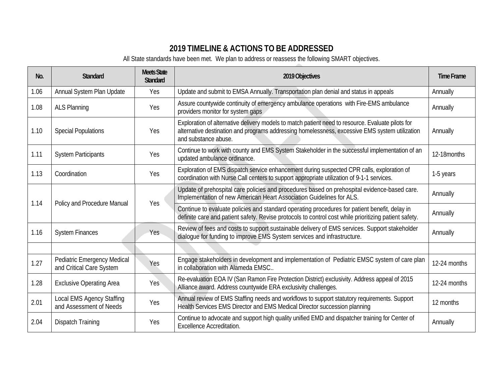## **2019 TIMELINE & ACTIONS TO BE ADDRESSED**

All State standards have been met. We plan to address or reassess the following SMART objectives.

| No.  | <b>Standard</b>                                                | <b>Meets State</b><br><b>Standard</b> | 2019 Objectives                                                                                                                                                                                                             | <b>Time Frame</b> |
|------|----------------------------------------------------------------|---------------------------------------|-----------------------------------------------------------------------------------------------------------------------------------------------------------------------------------------------------------------------------|-------------------|
| 1.06 | Annual System Plan Update                                      | Yes                                   | Update and submit to EMSA Annually. Transportation plan denial and status in appeals                                                                                                                                        | Annually          |
| 1.08 | <b>ALS Planning</b>                                            | Yes                                   | Assure countywide continuity of emergency ambulance operations with Fire-EMS ambulance<br>providers monitor for system gaps                                                                                                 | Annually          |
| 1.10 | <b>Special Populations</b>                                     | Yes                                   | Exploration of alternative delivery models to match patient need to resource. Evaluate pilots for<br>alternative destination and programs addressing homelessness, excessive EMS system utilization<br>and substance abuse. | Annually          |
| 1.11 | <b>System Participants</b>                                     | Yes                                   | Continue to work with county and EMS System Stakeholder in the successful implementation of an<br>updated ambulance ordinance.                                                                                              | 12-18months       |
| 1.13 | Coordination                                                   | Yes                                   | Exploration of EMS dispatch service enhancement during suspected CPR calls, exploration of<br>coordination with Nurse Call centers to support appropriate utilization of 9-1-1 services.                                    | 1-5 years         |
|      | Policy and Procedure Manual                                    | Yes                                   | Update of prehospital care policies and procedures based on prehospital evidence-based care.<br>Implementation of new American Heart Association Guidelines for ALS.                                                        | Annually          |
| 1.14 |                                                                |                                       | Continue to evaluate policies and standard operating procedures for patient benefit, delay in<br>definite care and patient safety. Revise protocols to control cost while prioritizing patient safety.                      | Annually          |
| 1.16 | <b>System Finances</b>                                         | <b>Yes</b>                            | Review of fees and costs to support sustainable delivery of EMS services. Support stakeholder<br>dialogue for funding to improve EMS System services and infrastructure.                                                    | Annually          |
|      |                                                                |                                       |                                                                                                                                                                                                                             |                   |
| 1.27 | <b>Pediatric Emergency Medical</b><br>and Critical Care System | Yes                                   | Engage stakeholders in development and implementation of Pediatric EMSC system of care plan<br>in collaboration with Alameda EMSC.                                                                                          | 12-24 months      |
| 1.28 | <b>Exclusive Operating Area</b>                                | Yes                                   | Re-evaluation EOA IV (San Ramon Fire Protection District) exclusivity. Address appeal of 2015<br>Alliance award. Address countywide ERA exclusivity challenges.                                                             | 12-24 months      |
| 2.01 | Local EMS Agency Staffing<br>and Assessment of Needs           | Yes                                   | Annual review of EMS Staffing needs and workflows to support statutory requirements. Support<br>Health Services EMS Director and EMS Medical Director succession planning                                                   | 12 months         |
| 2.04 | Dispatch Training                                              | Yes                                   | Continue to advocate and support high quality unified EMD and dispatcher training for Center of<br><b>Excellence Accreditation.</b>                                                                                         | Annually          |